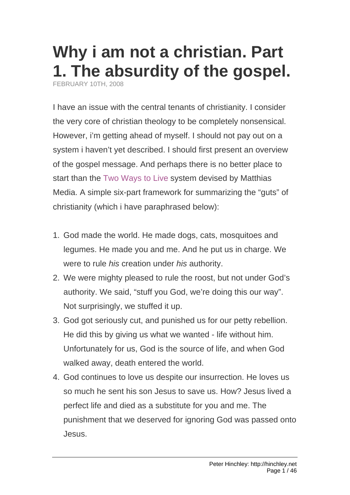# **[Why i am not a christian. Part](http://hinchley.net/2008/2/10/why-i-am-not-a-christian-part-1-the-stupidity-of-the-gospel)  [1. The absurdity of the gospel.](http://hinchley.net/2008/2/10/why-i-am-not-a-christian-part-1-the-stupidity-of-the-gospel)**

FEBRUARY 10TH, 2008

I have an issue with the central tenants of christianity. I consider the very core of christian theology to be completely nonsensical. However, i'm getting ahead of myself. I should not pay out on a system i haven't yet described. I should first present an overview of the gospel message. And perhaps there is no better place to start than the [Two Ways to Live](http://www.matthiasmedia.com.au/2wtl/index.asp) system devised by Matthias Media. A simple six-part framework for summarizing the "guts" of christianity (which i have paraphrased below):

- 1. God made the world. He made dogs, cats, mosquitoes and legumes. He made you and me. And he put us in charge. We were to rule *his* creation under *his* authority.
- 2. We were mighty pleased to rule the roost, but not under God's authority. We said, "stuff you God, we're doing this our way". Not surprisingly, we stuffed it up.
- 3. God got seriously cut, and punished us for our petty rebellion. He did this by giving us what we wanted - life without him. Unfortunately for us, God is the source of life, and when God walked away, death entered the world.
- 4. God continues to love us despite our insurrection. He loves us so much he sent his son Jesus to save us. How? Jesus lived a perfect life and died as a substitute for you and me. The punishment that we deserved for ignoring God was passed onto Jesus.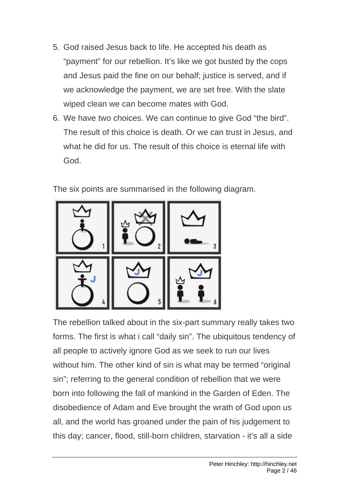- 5. God raised Jesus back to life. He accepted his death as "payment" for our rebellion. It's like we got busted by the cops and Jesus paid the fine on our behalf; justice is served, and if we acknowledge the payment, we are set free. With the slate wiped clean we can become mates with God.
- 6. We have two choices. We can continue to give God "the bird". The result of this choice is death. Or we can trust in Jesus, and what he did for us. The result of this choice is eternal life with God.

The six points are summarised in the following diagram.



The rebellion talked about in the six-part summary really takes two forms. The first is what i call "daily sin". The ubiquitous tendency of all people to actively ignore God as we seek to run our lives without him. The other kind of sin is what may be termed "original sin"; referring to the general condition of rebellion that we were born into following the fall of mankind in the Garden of Eden. The disobedience of Adam and Eve brought the wrath of God upon us all, and the world has groaned under the pain of his judgement to this day; cancer, flood, still-born children, starvation - it's all a side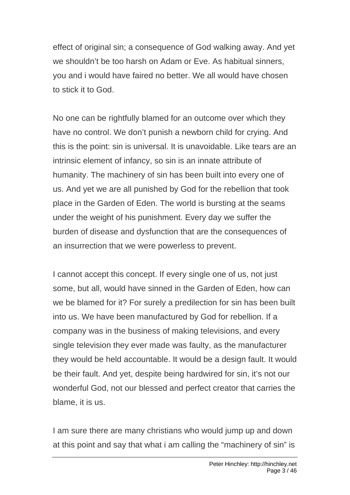effect of original sin; a consequence of God walking away. And yet we shouldn't be too harsh on Adam or Eve. As habitual sinners, you and i would have faired no better. We all would have chosen to stick it to God.

No one can be rightfully blamed for an outcome over which they have no control. We don't punish a newborn child for crying. And this is the point: sin is universal. It is unavoidable. Like tears are an intrinsic element of infancy, so sin is an innate attribute of humanity. The machinery of sin has been built into every one of us. And yet we are all punished by God for the rebellion that took place in the Garden of Eden. The world is bursting at the seams under the weight of his punishment. Every day we suffer the burden of disease and dysfunction that are the consequences of an insurrection that we were powerless to prevent.

I cannot accept this concept. If every single one of us, not just some, but all, would have sinned in the Garden of Eden, how can we be blamed for it? For surely a predilection for sin has been built into us. We have been manufactured by God for rebellion. If a company was in the business of making televisions, and every single television they ever made was faulty, as the manufacturer they would be held accountable. It would be a design fault. It would be their fault. And yet, despite being hardwired for sin, it's not our wonderful God, not our blessed and perfect creator that carries the blame, it is us.

I am sure there are many christians who would jump up and down at this point and say that what i am calling the "machinery of sin" is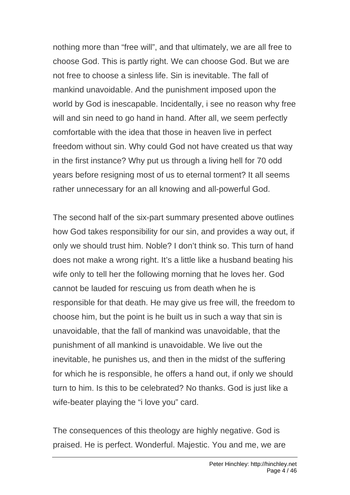nothing more than "free will", and that ultimately, we are all free to choose God. This is partly right. We can choose God. But we are not free to choose a sinless life. Sin is inevitable. The fall of mankind unavoidable. And the punishment imposed upon the world by God is inescapable. Incidentally, i see no reason why free will and sin need to go hand in hand. After all, we seem perfectly comfortable with the idea that those in heaven live in perfect freedom without sin. Why could God not have created us that way in the first instance? Why put us through a living hell for 70 odd years before resigning most of us to eternal torment? It all seems rather unnecessary for an all knowing and all-powerful God.

The second half of the six-part summary presented above outlines how God takes responsibility for our sin, and provides a way out, if only we should trust him. Noble? I don't think so. This turn of hand does not make a wrong right. It's a little like a husband beating his wife only to tell her the following morning that he loves her. God cannot be lauded for rescuing us from death when he is responsible for that death. He may give us free will, the freedom to choose him, but the point is he built us in such a way that sin is unavoidable, that the fall of mankind was unavoidable, that the punishment of all mankind is unavoidable. We live out the inevitable, he punishes us, and then in the midst of the suffering for which he is responsible, he offers a hand out, if only we should turn to him. Is this to be celebrated? No thanks. God is just like a wife-beater playing the "i love you" card.

The consequences of this theology are highly negative. God is praised. He is perfect. Wonderful. Majestic. You and me, we are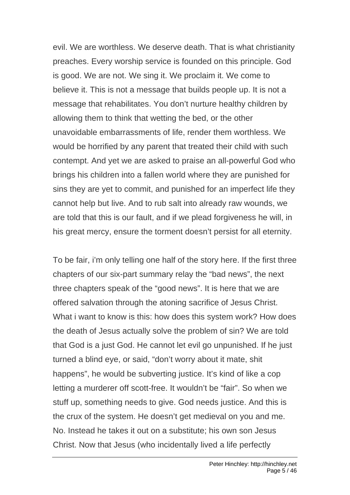evil. We are worthless. We deserve death. That is what christianity preaches. Every worship service is founded on this principle. God is good. We are not. We sing it. We proclaim it. We come to believe it. This is not a message that builds people up. It is not a message that rehabilitates. You don't nurture healthy children by allowing them to think that wetting the bed, or the other unavoidable embarrassments of life, render them worthless. We would be horrified by any parent that treated their child with such contempt. And yet we are asked to praise an all-powerful God who brings his children into a fallen world where they are punished for sins they are yet to commit, and punished for an imperfect life they cannot help but live. And to rub salt into already raw wounds, we are told that this is our fault, and if we plead forgiveness he will, in his great mercy, ensure the torment doesn't persist for all eternity.

To be fair, i'm only telling one half of the story here. If the first three chapters of our six-part summary relay the "bad news", the next three chapters speak of the "good news". It is here that we are offered salvation through the atoning sacrifice of Jesus Christ. What i want to know is this: how does this system work? How does the death of Jesus actually solve the problem of sin? We are told that God is a just God. He cannot let evil go unpunished. If he just turned a blind eye, or said, "don't worry about it mate, shit happens", he would be subverting justice. It's kind of like a cop letting a murderer off scott-free. It wouldn't be "fair". So when we stuff up, something needs to give. God needs justice. And this is the crux of the system. He doesn't get medieval on you and me. No. Instead he takes it out on a substitute; his own son Jesus Christ. Now that Jesus (who incidentally lived a life perfectly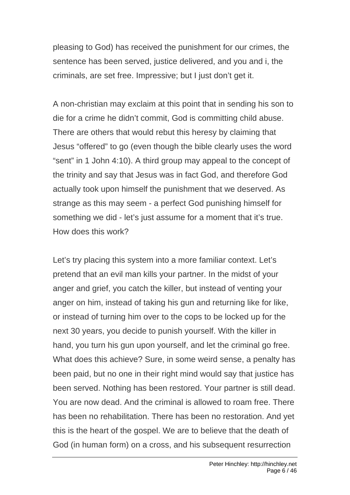pleasing to God) has received the punishment for our crimes, the sentence has been served, justice delivered, and you and i, the criminals, are set free. Impressive; but I just don't get it.

A non-christian may exclaim at this point that in sending his son to die for a crime he didn't commit, God is committing child abuse. There are others that would rebut this heresy by claiming that Jesus "offered" to go (even though the bible clearly uses the word "sent" in 1 John 4:10). A third group may appeal to the concept of the trinity and say that Jesus was in fact God, and therefore God actually took upon himself the punishment that we deserved. As strange as this may seem - a perfect God punishing himself for something we did - let's just assume for a moment that it's true. How does this work?

Let's try placing this system into a more familiar context. Let's pretend that an evil man kills your partner. In the midst of your anger and grief, you catch the killer, but instead of venting your anger on him, instead of taking his gun and returning like for like, or instead of turning him over to the cops to be locked up for the next 30 years, you decide to punish yourself. With the killer in hand, you turn his gun upon yourself, and let the criminal go free. What does this achieve? Sure, in some weird sense, a penalty has been paid, but no one in their right mind would say that justice has been served. Nothing has been restored. Your partner is still dead. You are now dead. And the criminal is allowed to roam free. There has been no rehabilitation. There has been no restoration. And yet this is the heart of the gospel. We are to believe that the death of God (in human form) on a cross, and his subsequent resurrection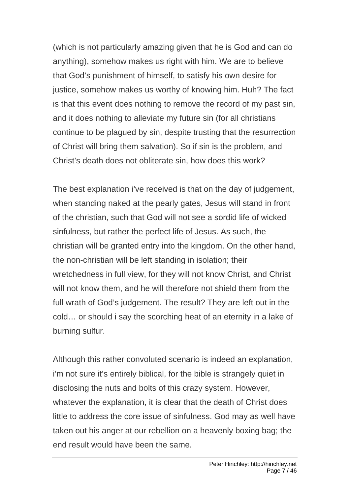(which is not particularly amazing given that he is God and can do anything), somehow makes us right with him. We are to believe that God's punishment of himself, to satisfy his own desire for justice, somehow makes us worthy of knowing him. Huh? The fact is that this event does nothing to remove the record of my past sin, and it does nothing to alleviate my future sin (for all christians continue to be plagued by sin, despite trusting that the resurrection of Christ will bring them salvation). So if sin is the problem, and Christ's death does not obliterate sin, how does this work?

The best explanation i've received is that on the day of judgement, when standing naked at the pearly gates, Jesus will stand in front of the christian, such that God will not see a sordid life of wicked sinfulness, but rather the perfect life of Jesus. As such, the christian will be granted entry into the kingdom. On the other hand, the non-christian will be left standing in isolation; their wretchedness in full view, for they will not know Christ, and Christ will not know them, and he will therefore not shield them from the full wrath of God's judgement. The result? They are left out in the cold… or should i say the scorching heat of an eternity in a lake of burning sulfur.

Although this rather convoluted scenario is indeed an explanation, i'm not sure it's entirely biblical, for the bible is strangely quiet in disclosing the nuts and bolts of this crazy system. However, whatever the explanation, it is clear that the death of Christ does little to address the core issue of sinfulness. God may as well have taken out his anger at our rebellion on a heavenly boxing bag; the end result would have been the same.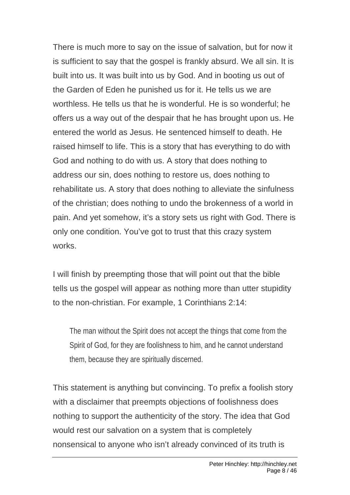There is much more to say on the issue of salvation, but for now it is sufficient to say that the gospel is frankly absurd. We all sin. It is built into us. It was built into us by God. And in booting us out of the Garden of Eden he punished us for it. He tells us we are worthless. He tells us that he is wonderful. He is so wonderful; he offers us a way out of the despair that he has brought upon us. He entered the world as Jesus. He sentenced himself to death. He raised himself to life. This is a story that has everything to do with God and nothing to do with us. A story that does nothing to address our sin, does nothing to restore us, does nothing to rehabilitate us. A story that does nothing to alleviate the sinfulness of the christian; does nothing to undo the brokenness of a world in pain. And yet somehow, it's a story sets us right with God. There is only one condition. You've got to trust that this crazy system works.

I will finish by preempting those that will point out that the bible tells us the gospel will appear as nothing more than utter stupidity to the non-christian. For example, 1 Corinthians 2:14:

The man without the Spirit does not accept the things that come from the Spirit of God, for they are foolishness to him, and he cannot understand them, because they are spiritually discerned.

This statement is anything but convincing. To prefix a foolish story with a disclaimer that preempts objections of foolishness does nothing to support the authenticity of the story. The idea that God would rest our salvation on a system that is completely nonsensical to anyone who isn't already convinced of its truth is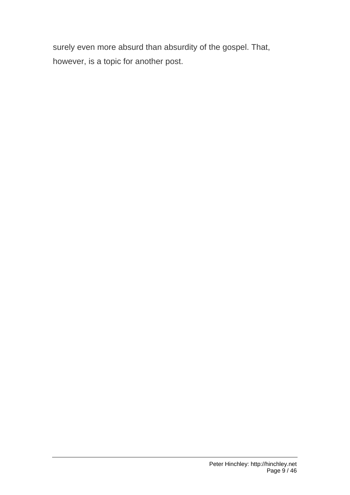surely even more absurd than absurdity of the gospel. That, however, is a topic for another post.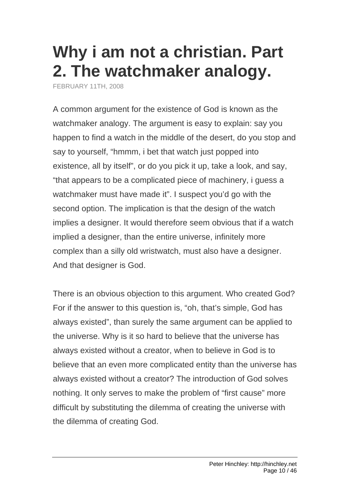#### **[Why i am not a christian. Part](http://hinchley.net/2008/2/11/why-i-am-not-a-christian-part-2-the-watchmaker-analogy)  [2. The watchmaker analogy.](http://hinchley.net/2008/2/11/why-i-am-not-a-christian-part-2-the-watchmaker-analogy)**

FEBRUARY 11TH, 2008

A common argument for the existence of God is known as the watchmaker analogy. The argument is easy to explain: say you happen to find a watch in the middle of the desert, do you stop and say to yourself, "hmmm, i bet that watch just popped into existence, all by itself", or do you pick it up, take a look, and say, "that appears to be a complicated piece of machinery, i guess a watchmaker must have made it". I suspect you'd go with the second option. The implication is that the design of the watch implies a designer. It would therefore seem obvious that if a watch implied a designer, than the entire universe, infinitely more complex than a silly old wristwatch, must also have a designer. And that designer is God.

There is an obvious objection to this argument. Who created God? For if the answer to this question is, "oh, that's simple, God has always existed", than surely the same argument can be applied to the universe. Why is it so hard to believe that the universe has always existed without a creator, when to believe in God is to believe that an even more complicated entity than the universe has always existed without a creator? The introduction of God solves nothing. It only serves to make the problem of "first cause" more difficult by substituting the dilemma of creating the universe with the dilemma of creating God.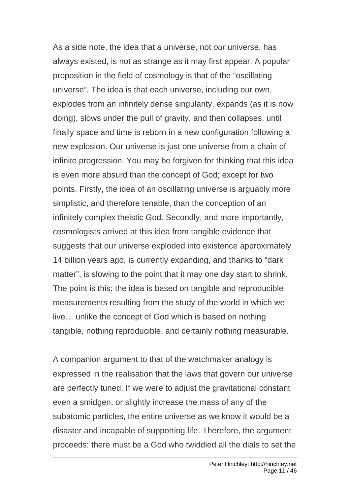As a side note, the idea that *a* universe, not *our* universe, has always existed, is not as strange as it may first appear. A popular proposition in the field of cosmology is that of the "oscillating universe". The idea is that each universe, including our own, explodes from an infinitely dense singularity, expands (as it is now doing), slows under the pull of gravity, and then collapses, until finally space and time is reborn in a new configuration following a new explosion. Our universe is just one universe from a chain of infinite progression. You may be forgiven for thinking that this idea is even more absurd than the concept of God; except for two points. Firstly, the idea of an oscillating universe is arguably more simplistic, and therefore tenable, than the conception of an infinitely complex theistic God. Secondly, and more importantly, cosmologists arrived at this idea from tangible evidence that suggests that our universe exploded into existence approximately 14 billion years ago, is currently expanding, and thanks to "dark matter", is slowing to the point that it may one day start to shrink. The point is this: the idea is based on tangible and reproducible measurements resulting from the study of the world in which we live… unlike the concept of God which is based on nothing tangible, nothing reproducible, and certainly nothing measurable.

A companion argument to that of the watchmaker analogy is expressed in the realisation that the laws that govern our universe are perfectly tuned. If we were to adjust the gravitational constant even a smidgen, or slightly increase the mass of any of the subatomic particles, the entire universe as we know it would be a disaster and incapable of supporting life. Therefore, the argument proceeds: there must be a God who twiddled all the dials to set the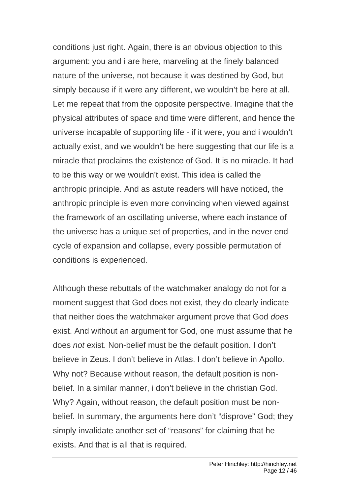conditions just right. Again, there is an obvious objection to this argument: you and i are here, marveling at the finely balanced nature of the universe, not because it was destined by God, but simply because if it were any different, we wouldn't be here at all. Let me repeat that from the opposite perspective. Imagine that the physical attributes of space and time were different, and hence the universe incapable of supporting life - if it were, you and i wouldn't actually exist, and we wouldn't be here suggesting that our life is a miracle that proclaims the existence of God. It is no miracle. It had to be this way or we wouldn't exist. This idea is called the anthropic principle. And as astute readers will have noticed, the anthropic principle is even more convincing when viewed against the framework of an oscillating universe, where each instance of the universe has a unique set of properties, and in the never end cycle of expansion and collapse, every possible permutation of conditions is experienced.

Although these rebuttals of the watchmaker analogy do not for a moment suggest that God does not exist, they do clearly indicate that neither does the watchmaker argument prove that God *does* exist. And without an argument for God, one must assume that he does *not* exist. Non-belief must be the default position. I don't believe in Zeus. I don't believe in Atlas. I don't believe in Apollo. Why not? Because without reason, the default position is nonbelief. In a similar manner, i don't believe in the christian God. Why? Again, without reason, the default position must be nonbelief. In summary, the arguments here don't "disprove" God; they simply invalidate another set of "reasons" for claiming that he exists. And that is all that is required.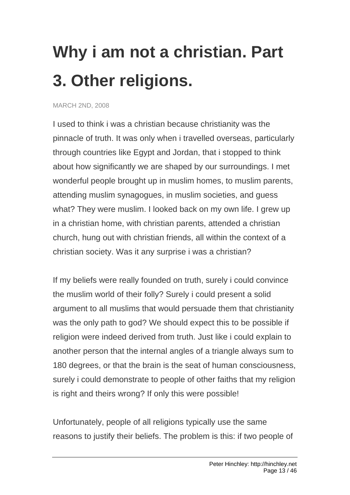# **[Why i am not a christian. Part](http://hinchley.net/2008/3/2/why-i-am-not-a-christian-part-3-other-religions)  [3. Other religions.](http://hinchley.net/2008/3/2/why-i-am-not-a-christian-part-3-other-religions)**

MARCH 2ND, 2008

I used to think i was a christian because christianity was the pinnacle of truth. It was only when i travelled overseas, particularly through countries like Egypt and Jordan, that i stopped to think about how significantly we are shaped by our surroundings. I met wonderful people brought up in muslim homes, to muslim parents, attending muslim synagogues, in muslim societies, and guess what? They were muslim. I looked back on my own life. I grew up in a christian home, with christian parents, attended a christian church, hung out with christian friends, all within the context of a christian society. Was it any surprise i was a christian?

If my beliefs were really founded on truth, surely i could convince the muslim world of their folly? Surely i could present a solid argument to all muslims that would persuade them that christianity was the only path to god? We should expect this to be possible if religion were indeed derived from truth. Just like i could explain to another person that the internal angles of a triangle always sum to 180 degrees, or that the brain is the seat of human consciousness, surely i could demonstrate to people of other faiths that my religion is right and theirs wrong? If only this were possible!

Unfortunately, people of all religions typically use the same reasons to justify their beliefs. The problem is this: if two people of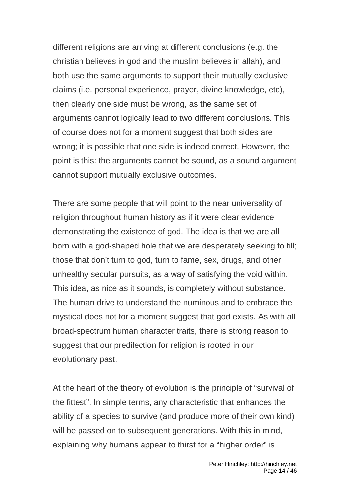different religions are arriving at different conclusions (e.g. the christian believes in god and the muslim believes in allah), and both use the same arguments to support their mutually exclusive claims (i.e. personal experience, prayer, divine knowledge, etc), then clearly one side must be wrong, as the same set of arguments cannot logically lead to two different conclusions. This of course does not for a moment suggest that both sides are wrong; it is possible that one side is indeed correct. However, the point is this: the arguments cannot be sound, as a sound argument cannot support mutually exclusive outcomes.

There are some people that will point to the near universality of religion throughout human history as if it were clear evidence demonstrating the existence of god. The idea is that we are all born with a god-shaped hole that we are desperately seeking to fill; those that don't turn to god, turn to fame, sex, drugs, and other unhealthy secular pursuits, as a way of satisfying the void within. This idea, as nice as it sounds, is completely without substance. The human drive to understand the numinous and to embrace the mystical does not for a moment suggest that god exists. As with all broad-spectrum human character traits, there is strong reason to suggest that our predilection for religion is rooted in our evolutionary past.

At the heart of the theory of evolution is the principle of "survival of the fittest". In simple terms, any characteristic that enhances the ability of a species to survive (and produce more of their own kind) will be passed on to subsequent generations. With this in mind, explaining why humans appear to thirst for a "higher order" is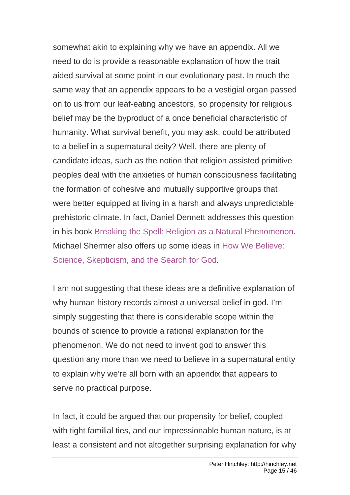somewhat akin to explaining why we have an appendix. All we need to do is provide a reasonable explanation of how the trait aided survival at some point in our evolutionary past. In much the same way that an appendix appears to be a vestigial organ passed on to us from our leaf-eating ancestors, so propensity for religious belief may be the byproduct of a once beneficial characteristic of humanity. What survival benefit, you may ask, could be attributed to a belief in a supernatural deity? Well, there are plenty of candidate ideas, such as the notion that religion assisted primitive peoples deal with the anxieties of human consciousness facilitating the formation of cohesive and mutually supportive groups that were better equipped at living in a harsh and always unpredictable prehistoric climate. In fact, Daniel Dennett addresses this question in his book [Breaking the Spell: Religion as a Natural Phenomenon](http://www.amazon.com/gp/product/0143038338/). Michael Shermer also offers up some ideas in [How We Believe:](http://www.amazon.com/How-We-Believe-2nd-Skepticism/dp/0805074791/)  [Science, Skepticism, and the Search for God.](http://www.amazon.com/How-We-Believe-2nd-Skepticism/dp/0805074791/)

I am not suggesting that these ideas are a definitive explanation of why human history records almost a universal belief in god. I'm simply suggesting that there is considerable scope within the bounds of science to provide a rational explanation for the phenomenon. We do not need to invent god to answer this question any more than we need to believe in a supernatural entity to explain why we're all born with an appendix that appears to serve no practical purpose.

In fact, it could be argued that our propensity for belief, coupled with tight familial ties, and our impressionable human nature, is at least a consistent and not altogether surprising explanation for why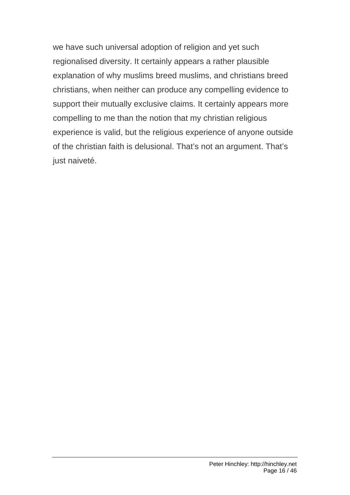we have such universal adoption of religion and yet such regionalised diversity. It certainly appears a rather plausible explanation of why muslims breed muslims, and christians breed christians, when neither can produce any compelling evidence to support their mutually exclusive claims. It certainly appears more compelling to me than the notion that my christian religious experience is valid, but the religious experience of anyone outside of the christian faith is delusional. That's not an argument. That's just naiveté.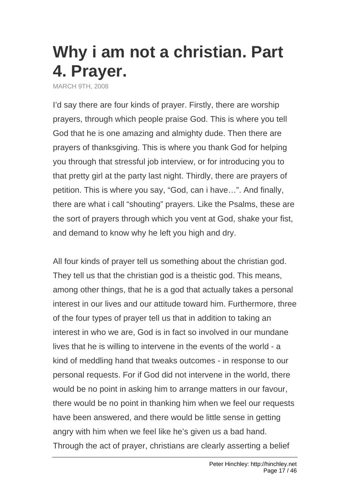### **[Why i am not a christian. Part](http://hinchley.net/2008/3/9/why-i-am-not-a-christian-part-4-prayer)  [4. Prayer.](http://hinchley.net/2008/3/9/why-i-am-not-a-christian-part-4-prayer)**

MARCH 9TH, 2008

I'd say there are four kinds of prayer. Firstly, there are worship prayers, through which people praise God. This is where you tell God that he is one amazing and almighty dude. Then there are prayers of thanksgiving. This is where you thank God for helping you through that stressful job interview, or for introducing you to that pretty girl at the party last night. Thirdly, there are prayers of petition. This is where you say, "God, can i have…". And finally, there are what i call "shouting" prayers. Like the Psalms, these are the sort of prayers through which you vent at God, shake your fist, and demand to know why he left you high and dry.

All four kinds of prayer tell us something about the christian god. They tell us that the christian god is a theistic god. This means, among other things, that he is a god that actually takes a personal interest in our lives and our attitude toward him. Furthermore, three of the four types of prayer tell us that in addition to taking an interest in who we are, God is in fact so involved in our mundane lives that he is willing to intervene in the events of the world - a kind of meddling hand that tweaks outcomes - in response to our personal requests. For if God did not intervene in the world, there would be no point in asking him to arrange matters in our favour, there would be no point in thanking him when we feel our requests have been answered, and there would be little sense in getting angry with him when we feel like he's given us a bad hand. Through the act of prayer, christians are clearly asserting a belief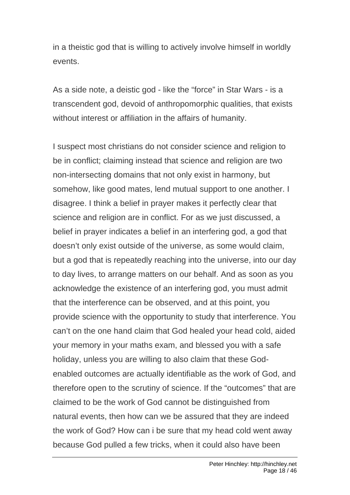in a theistic god that is willing to actively involve himself in worldly events.

As a side note, a deistic god - like the "force" in Star Wars - is a transcendent god, devoid of anthropomorphic qualities, that exists without interest or affiliation in the affairs of humanity.

I suspect most christians do not consider science and religion to be in conflict; claiming instead that science and religion are two non-intersecting domains that not only exist in harmony, but somehow, like good mates, lend mutual support to one another. I disagree. I think a belief in prayer makes it perfectly clear that science and religion are in conflict. For as we just discussed, a belief in prayer indicates a belief in an interfering god, a god that doesn't only exist outside of the universe, as some would claim, but a god that is repeatedly reaching into the universe, into our day to day lives, to arrange matters on our behalf. And as soon as you acknowledge the existence of an interfering god, you must admit that the interference can be observed, and at this point, you provide science with the opportunity to study that interference. You can't on the one hand claim that God healed your head cold, aided your memory in your maths exam, and blessed you with a safe holiday, unless you are willing to also claim that these Godenabled outcomes are actually identifiable as the work of God, and therefore open to the scrutiny of science. If the "outcomes" that are claimed to be the work of God cannot be distinguished from natural events, then how can we be assured that they are indeed the work of God? How can i be sure that my head cold went away because God pulled a few tricks, when it could also have been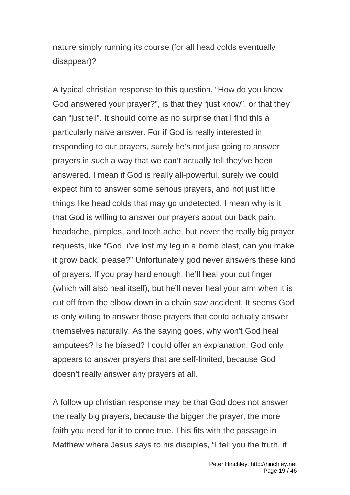nature simply running its course (for all head colds eventually disappear)?

A typical christian response to this question, "How do you know God answered your prayer?", is that they "just know", or that they can "just tell". It should come as no surprise that i find this a particularly naive answer. For if God is really interested in responding to our prayers, surely he's not just going to answer prayers in such a way that we can't actually tell they've been answered. I mean if God is really all-powerful, surely we could expect him to answer some serious prayers, and not just little things like head colds that may go undetected. I mean why is it that God is willing to answer our prayers about our back pain, headache, pimples, and tooth ache, but never the really big prayer requests, like "God, i've lost my leg in a bomb blast, can you make it grow back, please?" Unfortunately god never answers these kind of prayers. If you pray hard enough, he'll heal your cut finger (which will also heal itself), but he'll never heal your arm when it is cut off from the elbow down in a chain saw accident. It seems God is only willing to answer those prayers that could actually answer themselves naturally. As the saying goes, why won't God heal amputees? Is he biased? I could offer an explanation: God only appears to answer prayers that are self-limited, because God doesn't really answer any prayers at all.

A follow up christian response may be that God does not answer the really big prayers, because the bigger the prayer, the more faith you need for it to come true. This fits with the passage in Matthew where Jesus says to his disciples, "I tell you the truth, if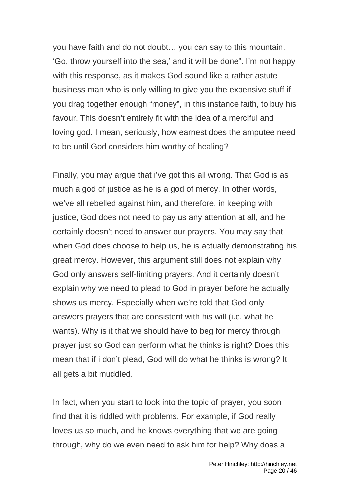you have faith and do not doubt… you can say to this mountain, 'Go, throw yourself into the sea,' and it will be done". I'm not happy with this response, as it makes God sound like a rather astute business man who is only willing to give you the expensive stuff if you drag together enough "money", in this instance faith, to buy his favour. This doesn't entirely fit with the idea of a merciful and loving god. I mean, seriously, how earnest does the amputee need to be until God considers him worthy of healing?

Finally, you may argue that i've got this all wrong. That God is as much a god of justice as he is a god of mercy. In other words, we've all rebelled against him, and therefore, in keeping with justice, God does not need to pay us any attention at all, and he certainly doesn't need to answer our prayers. You may say that when God does choose to help us, he is actually demonstrating his great mercy. However, this argument still does not explain why God only answers self-limiting prayers. And it certainly doesn't explain why we need to plead to God in prayer before he actually shows us mercy. Especially when we're told that God only answers prayers that are consistent with his will (i.e. what he wants). Why is it that we should have to beg for mercy through prayer just so God can perform what he thinks is right? Does this mean that if i don't plead, God will do what he thinks is wrong? It all gets a bit muddled.

In fact, when you start to look into the topic of prayer, you soon find that it is riddled with problems. For example, if God really loves us so much, and he knows everything that we are going through, why do we even need to ask him for help? Why does a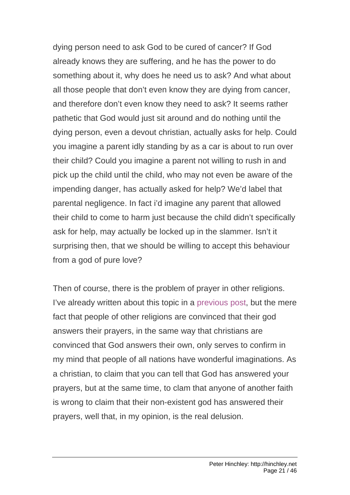dying person need to ask God to be cured of cancer? If God already knows they are suffering, and he has the power to do something about it, why does he need us to ask? And what about all those people that don't even know they are dying from cancer, and therefore don't even know they need to ask? It seems rather pathetic that God would just sit around and do nothing until the dying person, even a devout christian, actually asks for help. Could you imagine a parent idly standing by as a car is about to run over their child? Could you imagine a parent not willing to rush in and pick up the child until the child, who may not even be aware of the impending danger, has actually asked for help? We'd label that parental negligence. In fact i'd imagine any parent that allowed their child to come to harm just because the child didn't specifically ask for help, may actually be locked up in the slammer. Isn't it surprising then, that we should be willing to accept this behaviour from a god of pure love?

Then of course, there is the problem of prayer in other religions. I've already written about this topic in a [previous post](http://hinchley.net/2008/03/02/why-i-am-not-a-christian-part-3-other-religions), but the mere fact that people of other religions are convinced that their god answers their prayers, in the same way that christians are convinced that God answers their own, only serves to confirm in my mind that people of all nations have wonderful imaginations. As a christian, to claim that you can tell that God has answered your prayers, but at the same time, to clam that anyone of another faith is wrong to claim that their non-existent god has answered their prayers, well that, in my opinion, is the real delusion.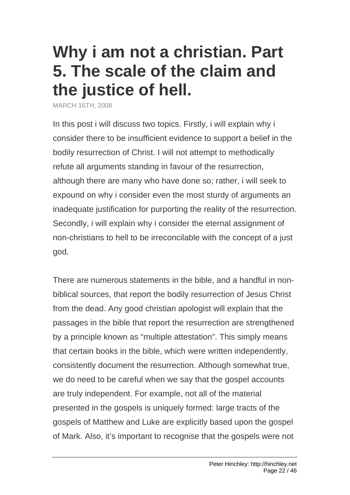## **[Why i am not a christian. Part](http://hinchley.net/2008/3/16/why-i-am-not-a-christian-part-5-the-scale-of-the-claim-and-the-justice-of-hell)  [5. The scale of the claim and](http://hinchley.net/2008/3/16/why-i-am-not-a-christian-part-5-the-scale-of-the-claim-and-the-justice-of-hell)  [the justice of hell.](http://hinchley.net/2008/3/16/why-i-am-not-a-christian-part-5-the-scale-of-the-claim-and-the-justice-of-hell)**

MARCH 16TH, 2008

In this post i will discuss two topics. Firstly, i will explain why i consider there to be insufficient evidence to support a belief in the bodily resurrection of Christ. I will not attempt to methodically refute all arguments standing in favour of the resurrection, although there are many who have done so; rather, i will seek to expound on why i consider even the most sturdy of arguments an inadequate justification for purporting the reality of the resurrection. Secondly, i will explain why i consider the eternal assignment of non-christians to hell to be irreconcilable with the concept of a just god.

There are numerous statements in the bible, and a handful in nonbiblical sources, that report the bodily resurrection of Jesus Christ from the dead. Any good christian apologist will explain that the passages in the bible that report the resurrection are strengthened by a principle known as "multiple attestation". This simply means that certain books in the bible, which were written independently, consistently document the resurrection. Although somewhat true, we do need to be careful when we say that the gospel accounts are truly independent. For example, not all of the material presented in the gospels is uniquely formed: large tracts of the gospels of Matthew and Luke are explicitly based upon the gospel of Mark. Also, it's important to recognise that the gospels were not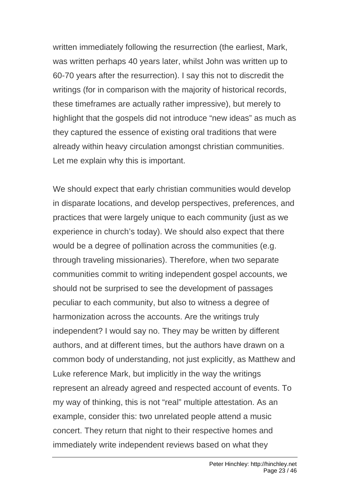written immediately following the resurrection (the earliest, Mark, was written perhaps 40 years later, whilst John was written up to 60-70 years after the resurrection). I say this not to discredit the writings (for in comparison with the majority of historical records, these timeframes are actually rather impressive), but merely to highlight that the gospels did not introduce "new ideas" as much as they captured the essence of existing oral traditions that were already within heavy circulation amongst christian communities. Let me explain why this is important.

We should expect that early christian communities would develop in disparate locations, and develop perspectives, preferences, and practices that were largely unique to each community (just as we experience in church's today). We should also expect that there would be a degree of pollination across the communities (e.g. through traveling missionaries). Therefore, when two separate communities commit to writing independent gospel accounts, we should not be surprised to see the development of passages peculiar to each community, but also to witness a degree of harmonization across the accounts. Are the writings truly independent? I would say no. They may be written by different authors, and at different times, but the authors have drawn on a common body of understanding, not just explicitly, as Matthew and Luke reference Mark, but implicitly in the way the writings represent an already agreed and respected account of events. To my way of thinking, this is not "real" multiple attestation. As an example, consider this: two unrelated people attend a music concert. They return that night to their respective homes and immediately write independent reviews based on what they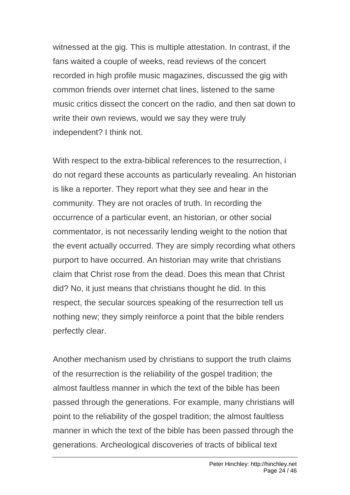witnessed at the gig. This is multiple attestation. In contrast, if the fans waited a couple of weeks, read reviews of the concert recorded in high profile music magazines, discussed the gig with common friends over internet chat lines, listened to the same music critics dissect the concert on the radio, and then sat down to write their own reviews, would we say they were truly independent? I think not.

With respect to the extra-biblical references to the resurrection, i do not regard these accounts as particularly revealing. An historian is like a reporter. They report what they see and hear in the community. They are not oracles of truth. In recording the occurrence of a particular event, an historian, or other social commentator, is not necessarily lending weight to the notion that the event actually occurred. They are simply recording what others purport to have occurred. An historian may write that christians claim that Christ rose from the dead. Does this mean that Christ did? No, it just means that christians thought he did. In this respect, the secular sources speaking of the resurrection tell us nothing new; they simply reinforce a point that the bible renders perfectly clear.

Another mechanism used by christians to support the truth claims of the resurrection is the reliability of the gospel tradition; the almost faultless manner in which the text of the bible has been passed through the generations. For example, many christians will point to the reliability of the gospel tradition; the almost faultless manner in which the text of the bible has been passed through the generations. Archeological discoveries of tracts of biblical text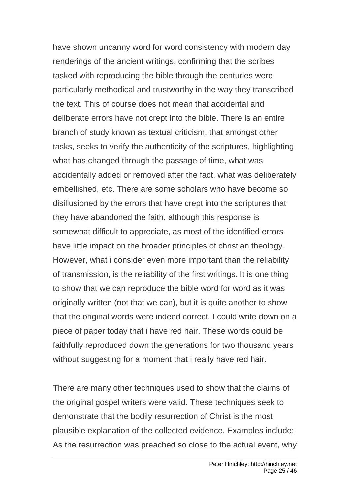have shown uncanny word for word consistency with modern day renderings of the ancient writings, confirming that the scribes tasked with reproducing the bible through the centuries were particularly methodical and trustworthy in the way they transcribed the text. This of course does not mean that accidental and deliberate errors have not crept into the bible. There is an entire branch of study known as textual criticism, that amongst other tasks, seeks to verify the authenticity of the scriptures, highlighting what has changed through the passage of time, what was accidentally added or removed after the fact, what was deliberately embellished, etc. There are some scholars who have become so disillusioned by the errors that have crept into the scriptures that they have abandoned the faith, although this response is somewhat difficult to appreciate, as most of the identified errors have little impact on the broader principles of christian theology. However, what i consider even more important than the reliability of transmission, is the reliability of the first writings. It is one thing to show that we can reproduce the bible word for word as it was originally written (not that we can), but it is quite another to show that the original words were indeed correct. I could write down on a piece of paper today that i have red hair. These words could be faithfully reproduced down the generations for two thousand years without suggesting for a moment that i really have red hair.

There are many other techniques used to show that the claims of the original gospel writers were valid. These techniques seek to demonstrate that the bodily resurrection of Christ is the most plausible explanation of the collected evidence. Examples include: As the resurrection was preached so close to the actual event, why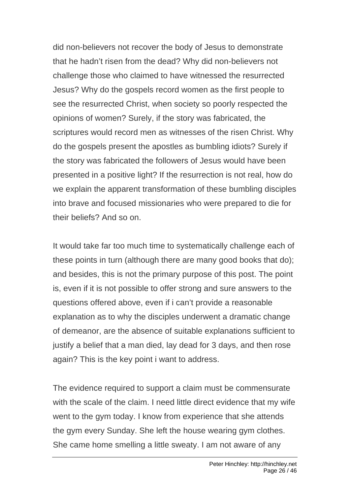did non-believers not recover the body of Jesus to demonstrate that he hadn't risen from the dead? Why did non-believers not challenge those who claimed to have witnessed the resurrected Jesus? Why do the gospels record women as the first people to see the resurrected Christ, when society so poorly respected the opinions of women? Surely, if the story was fabricated, the scriptures would record men as witnesses of the risen Christ. Why do the gospels present the apostles as bumbling idiots? Surely if the story was fabricated the followers of Jesus would have been presented in a positive light? If the resurrection is not real, how do we explain the apparent transformation of these bumbling disciples into brave and focused missionaries who were prepared to die for their beliefs? And so on.

It would take far too much time to systematically challenge each of these points in turn (although there are many good books that do); and besides, this is not the primary purpose of this post. The point is, even if it is not possible to offer strong and sure answers to the questions offered above, even if i can't provide a reasonable explanation as to why the disciples underwent a dramatic change of demeanor, are the absence of suitable explanations sufficient to justify a belief that a man died, lay dead for 3 days, and then rose again? This is the key point i want to address.

The evidence required to support a claim must be commensurate with the scale of the claim. I need little direct evidence that my wife went to the gym today. I know from experience that she attends the gym every Sunday. She left the house wearing gym clothes. She came home smelling a little sweaty. I am not aware of any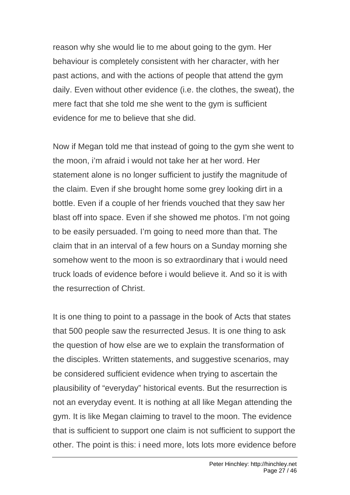reason why she would lie to me about going to the gym. Her behaviour is completely consistent with her character, with her past actions, and with the actions of people that attend the gym daily. Even without other evidence (i.e. the clothes, the sweat), the mere fact that she told me she went to the gym is sufficient evidence for me to believe that she did.

Now if Megan told me that instead of going to the gym she went to the moon, i'm afraid i would not take her at her word. Her statement alone is no longer sufficient to justify the magnitude of the claim. Even if she brought home some grey looking dirt in a bottle. Even if a couple of her friends vouched that they saw her blast off into space. Even if she showed me photos. I'm not going to be easily persuaded. I'm going to need more than that. The claim that in an interval of a few hours on a Sunday morning she somehow went to the moon is so extraordinary that i would need truck loads of evidence before i would believe it. And so it is with the resurrection of Christ.

It is one thing to point to a passage in the book of Acts that states that 500 people saw the resurrected Jesus. It is one thing to ask the question of how else are we to explain the transformation of the disciples. Written statements, and suggestive scenarios, may be considered sufficient evidence when trying to ascertain the plausibility of "everyday" historical events. But the resurrection is not an everyday event. It is nothing at all like Megan attending the gym. It is like Megan claiming to travel to the moon. The evidence that is sufficient to support one claim is not sufficient to support the other. The point is this: i need more, lots lots more evidence before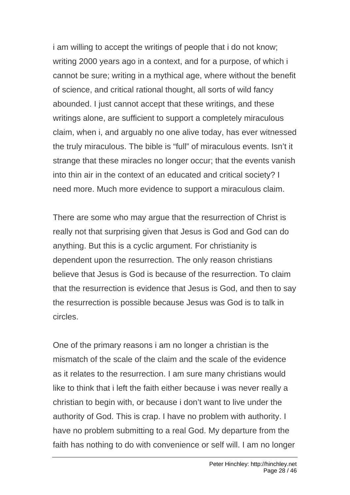i am willing to accept the writings of people that i do not know; writing 2000 years ago in a context, and for a purpose, of which i cannot be sure; writing in a mythical age, where without the benefit of science, and critical rational thought, all sorts of wild fancy abounded. I just cannot accept that these writings, and these writings alone, are sufficient to support a completely miraculous claim, when i, and arguably no one alive today, has ever witnessed the truly miraculous. The bible is "full" of miraculous events. Isn't it strange that these miracles no longer occur; that the events vanish into thin air in the context of an educated and critical society? I need more. Much more evidence to support a miraculous claim.

There are some who may argue that the resurrection of Christ is really not that surprising given that Jesus is God and God can do anything. But this is a cyclic argument. For christianity is dependent upon the resurrection. The only reason christians believe that Jesus is God is because of the resurrection. To claim that the resurrection is evidence that Jesus is God, and then to say the resurrection is possible because Jesus was God is to talk in circles.

One of the primary reasons i am no longer a christian is the mismatch of the scale of the claim and the scale of the evidence as it relates to the resurrection. I am sure many christians would like to think that i left the faith either because i was never really a christian to begin with, or because i don't want to live under the authority of God. This is crap. I have no problem with authority. I have no problem submitting to a real God. My departure from the faith has nothing to do with convenience or self will. I am no longer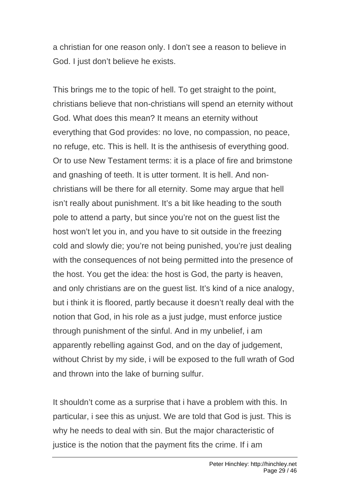a christian for one reason only. I don't see a reason to believe in God. I just don't believe he exists.

This brings me to the topic of hell. To get straight to the point, christians believe that non-christians will spend an eternity without God. What does this mean? It means an eternity without everything that God provides: no love, no compassion, no peace, no refuge, etc. This is hell. It is the anthisesis of everything good. Or to use New Testament terms: it is a place of fire and brimstone and gnashing of teeth. It is utter torment. It is hell. And nonchristians will be there for all eternity. Some may argue that hell isn't really about punishment. It's a bit like heading to the south pole to attend a party, but since you're not on the guest list the host won't let you in, and you have to sit outside in the freezing cold and slowly die; you're not being punished, you're just dealing with the consequences of not being permitted into the presence of the host. You get the idea: the host is God, the party is heaven, and only christians are on the guest list. It's kind of a nice analogy, but i think it is floored, partly because it doesn't really deal with the notion that God, in his role as a just judge, must enforce justice through punishment of the sinful. And in my unbelief, i am apparently rebelling against God, and on the day of judgement, without Christ by my side, i will be exposed to the full wrath of God and thrown into the lake of burning sulfur.

It shouldn't come as a surprise that i have a problem with this. In particular, i see this as unjust. We are told that God is just. This is why he needs to deal with sin. But the major characteristic of justice is the notion that the payment fits the crime. If i am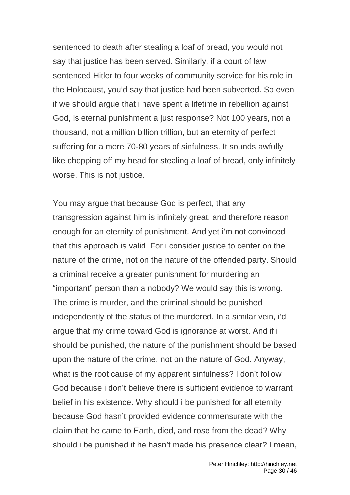sentenced to death after stealing a loaf of bread, you would not say that justice has been served. Similarly, if a court of law sentenced Hitler to four weeks of community service for his role in the Holocaust, you'd say that justice had been subverted. So even if we should argue that i have spent a lifetime in rebellion against God, is eternal punishment a just response? Not 100 years, not a thousand, not a million billion trillion, but an eternity of perfect suffering for a mere 70-80 years of sinfulness. It sounds awfully like chopping off my head for stealing a loaf of bread, only infinitely worse. This is not justice.

You may argue that because God is perfect, that any transgression against him is infinitely great, and therefore reason enough for an eternity of punishment. And yet i'm not convinced that this approach is valid. For i consider justice to center on the nature of the crime, not on the nature of the offended party. Should a criminal receive a greater punishment for murdering an "important" person than a nobody? We would say this is wrong. The crime is murder, and the criminal should be punished independently of the status of the murdered. In a similar vein, i'd argue that my crime toward God is ignorance at worst. And if i should be punished, the nature of the punishment should be based upon the nature of the crime, not on the nature of God. Anyway, what is the root cause of my apparent sinfulness? I don't follow God because i don't believe there is sufficient evidence to warrant belief in his existence. Why should i be punished for all eternity because God hasn't provided evidence commensurate with the claim that he came to Earth, died, and rose from the dead? Why should i be punished if he hasn't made his presence clear? I mean,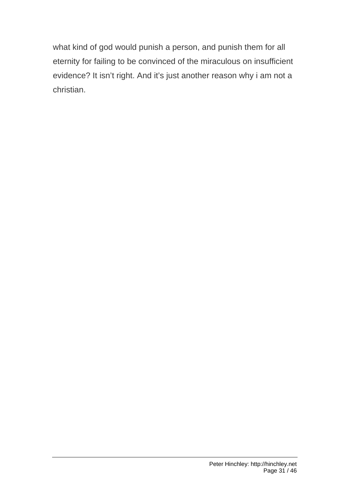what kind of god would punish a person, and punish them for all eternity for failing to be convinced of the miraculous on insufficient evidence? It isn't right. And it's just another reason why i am not a christian.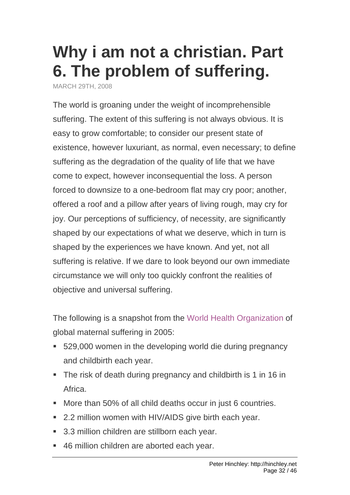## **[Why i am not a christian. Part](http://hinchley.net/2008/3/29/why-i-am-not-a-christian-part-6-the-problem-of-suffering)  [6. The problem of suffering.](http://hinchley.net/2008/3/29/why-i-am-not-a-christian-part-6-the-problem-of-suffering)**

MARCH 29TH, 2008

The world is groaning under the weight of incomprehensible suffering. The extent of this suffering is not always obvious. It is easy to grow comfortable; to consider our present state of existence, however luxuriant, as normal, even necessary; to define suffering as the degradation of the quality of life that we have come to expect, however inconsequential the loss. A person forced to downsize to a one-bedroom flat may cry poor; another, offered a roof and a pillow after years of living rough, may cry for joy. Our perceptions of sufficiency, of necessity, are significantly shaped by our expectations of what we deserve, which in turn is shaped by the experiences we have known. And yet, not all suffering is relative. If we dare to look beyond our own immediate circumstance we will only too quickly confront the realities of objective and universal suffering.

The following is a snapshot from the [World Health Organization](http://www.who.int/whr/2005/media_centre/facts_en.pdf) of global maternal suffering in 2005:

- 529,000 women in the developing world die during pregnancy and childbirth each year.
- The risk of death during pregnancy and childbirth is 1 in 16 in Africa.
- More than 50% of all child deaths occur in just 6 countries.
- 2.2 million women with HIV/AIDS give birth each year.
- 3.3 million children are stillborn each year.
- 46 million children are aborted each year.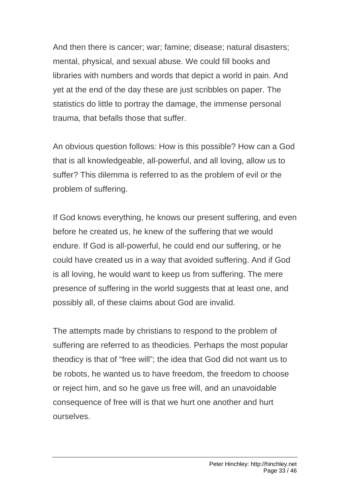And then there is cancer; war; famine; disease; natural disasters; mental, physical, and sexual abuse. We could fill books and libraries with numbers and words that depict a world in pain. And yet at the end of the day these are just scribbles on paper. The statistics do little to portray the damage, the immense personal trauma, that befalls those that suffer.

An obvious question follows: How is this possible? How can a God that is all knowledgeable, all-powerful, and all loving, allow us to suffer? This dilemma is referred to as the problem of evil or the problem of suffering.

If God knows everything, he knows our present suffering, and even before he created us, he knew of the suffering that we would endure. If God is all-powerful, he could end our suffering, or he could have created us in a way that avoided suffering. And if God is all loving, he would want to keep us from suffering. The mere presence of suffering in the world suggests that at least one, and possibly all, of these claims about God are invalid.

The attempts made by christians to respond to the problem of suffering are referred to as theodicies. Perhaps the most popular theodicy is that of "free will"; the idea that God did not want us to be robots, he wanted us to have freedom, the freedom to choose or reject him, and so he gave us free will, and an unavoidable consequence of free will is that we hurt one another and hurt ourselves.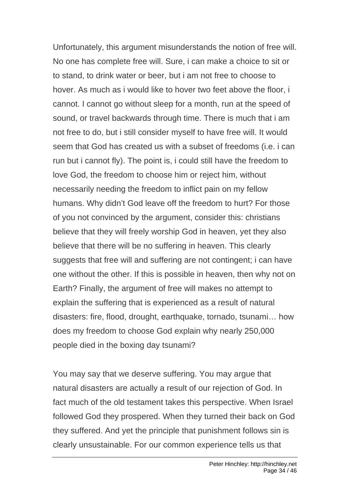Unfortunately, this argument misunderstands the notion of free will. No one has complete free will. Sure, i can make a choice to sit or to stand, to drink water or beer, but i am not free to choose to hover. As much as i would like to hover two feet above the floor, i cannot. I cannot go without sleep for a month, run at the speed of sound, or travel backwards through time. There is much that i am not free to do, but i still consider myself to have free will. It would seem that God has created us with a subset of freedoms (i.e. i can run but i cannot fly). The point is, i could still have the freedom to love God, the freedom to choose him or reject him, without necessarily needing the freedom to inflict pain on my fellow humans. Why didn't God leave off the freedom to hurt? For those of you not convinced by the argument, consider this: christians believe that they will freely worship God in heaven, yet they also believe that there will be no suffering in heaven. This clearly suggests that free will and suffering are not contingent; i can have one without the other. If this is possible in heaven, then why not on Earth? Finally, the argument of free will makes no attempt to explain the suffering that is experienced as a result of natural disasters: fire, flood, drought, earthquake, tornado, tsunami… how does my freedom to choose God explain why nearly 250,000 people died in the boxing day tsunami?

You may say that we deserve suffering. You may argue that natural disasters are actually a result of our rejection of God. In fact much of the old testament takes this perspective. When Israel followed God they prospered. When they turned their back on God they suffered. And yet the principle that punishment follows sin is clearly unsustainable. For our common experience tells us that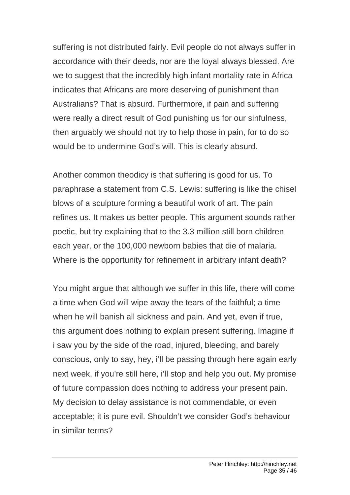suffering is not distributed fairly. Evil people do not always suffer in accordance with their deeds, nor are the loyal always blessed. Are we to suggest that the incredibly high infant mortality rate in Africa indicates that Africans are more deserving of punishment than Australians? That is absurd. Furthermore, if pain and suffering were really a direct result of God punishing us for our sinfulness, then arguably we should not try to help those in pain, for to do so would be to undermine God's will. This is clearly absurd.

Another common theodicy is that suffering is good for us. To paraphrase a statement from C.S. Lewis: suffering is like the chisel blows of a sculpture forming a beautiful work of art. The pain refines us. It makes us better people. This argument sounds rather poetic, but try explaining that to the 3.3 million still born children each year, or the 100,000 newborn babies that die of malaria. Where is the opportunity for refinement in arbitrary infant death?

You might argue that although we suffer in this life, there will come a time when God will wipe away the tears of the faithful; a time when he will banish all sickness and pain. And yet, even if true, this argument does nothing to explain present suffering. Imagine if i saw you by the side of the road, injured, bleeding, and barely conscious, only to say, hey, i'll be passing through here again early next week, if you're still here, i'll stop and help you out. My promise of future compassion does nothing to address your present pain. My decision to delay assistance is not commendable, or even acceptable; it is pure evil. Shouldn't we consider God's behaviour in similar terms?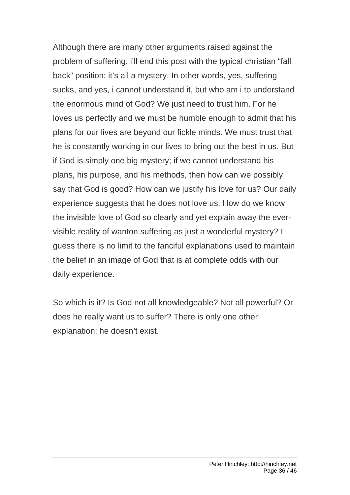Although there are many other arguments raised against the problem of suffering, i'll end this post with the typical christian "fall back" position: it's all a mystery. In other words, yes, suffering sucks, and yes, i cannot understand it, but who am i to understand the enormous mind of God? We just need to trust him. For he loves us perfectly and we must be humble enough to admit that his plans for our lives are beyond our fickle minds. We must trust that he is constantly working in our lives to bring out the best in us. But if God is simply one big mystery; if we cannot understand his plans, his purpose, and his methods, then how can we possibly say that God is good? How can we justify his love for us? Our daily experience suggests that he does not love us. How do we know the invisible love of God so clearly and yet explain away the evervisible reality of wanton suffering as just a wonderful mystery? I guess there is no limit to the fanciful explanations used to maintain the belief in an image of God that is at complete odds with our daily experience.

So which is it? Is God not all knowledgeable? Not all powerful? Or does he really want us to suffer? There is only one other explanation: he doesn't exist.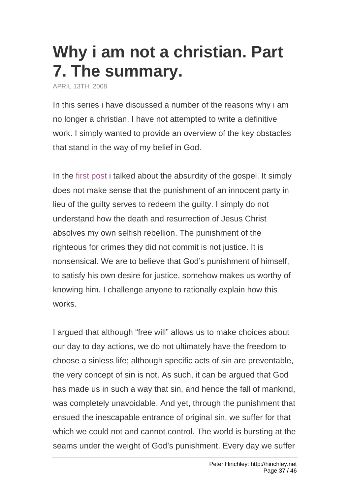## **[Why i am not a christian. Part](http://hinchley.net/2008/4/13/why-i-am-not-a-christian-part-7-the-summary)  [7. The summary.](http://hinchley.net/2008/4/13/why-i-am-not-a-christian-part-7-the-summary)**

APRIL 13TH, 2008

In this series i have discussed a number of the reasons why i am no longer a christian. I have not attempted to write a definitive work. I simply wanted to provide an overview of the key obstacles that stand in the way of my belief in God.

In the [first post](http://hinchley.net/2008/02/10/why-i-am-not-a-christian-part-1-the-absurdity-of-the-gospel) i talked about the absurdity of the gospel. It simply does not make sense that the punishment of an innocent party in lieu of the guilty serves to redeem the guilty. I simply do not understand how the death and resurrection of Jesus Christ absolves my own selfish rebellion. The punishment of the righteous for crimes they did not commit is not justice. It is nonsensical. We are to believe that God's punishment of himself, to satisfy his own desire for justice, somehow makes us worthy of knowing him. I challenge anyone to rationally explain how this works.

I argued that although "free will" allows us to make choices about our day to day actions, we do not ultimately have the freedom to choose a sinless life; although specific acts of sin are preventable, the very concept of sin is not. As such, it can be argued that God has made us in such a way that sin, and hence the fall of mankind, was completely unavoidable. And yet, through the punishment that ensued the inescapable entrance of original sin, we suffer for that which we could not and cannot control. The world is bursting at the seams under the weight of God's punishment. Every day we suffer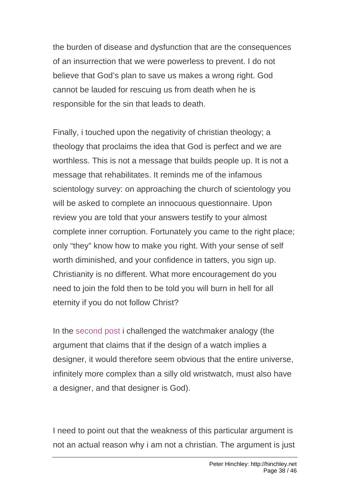the burden of disease and dysfunction that are the consequences of an insurrection that we were powerless to prevent. I do not believe that God's plan to save us makes a wrong right. God cannot be lauded for rescuing us from death when he is responsible for the sin that leads to death.

Finally, i touched upon the negativity of christian theology; a theology that proclaims the idea that God is perfect and we are worthless. This is not a message that builds people up. It is not a message that rehabilitates. It reminds me of the infamous scientology survey: on approaching the church of scientology you will be asked to complete an innocuous questionnaire. Upon review you are told that your answers testify to your almost complete inner corruption. Fortunately you came to the right place; only "they" know how to make you right. With your sense of self worth diminished, and your confidence in tatters, you sign up. Christianity is no different. What more encouragement do you need to join the fold then to be told you will burn in hell for all eternity if you do not follow Christ?

In the [second post](http://hinchley.net/2008/02/11/why-i-am-not-a-christian-part-2-the-watchmaker-analogy) i challenged the watchmaker analogy (the argument that claims that if the design of a watch implies a designer, it would therefore seem obvious that the entire universe, infinitely more complex than a silly old wristwatch, must also have a designer, and that designer is God).

I need to point out that the weakness of this particular argument is not an actual reason why i am not a christian. The argument is just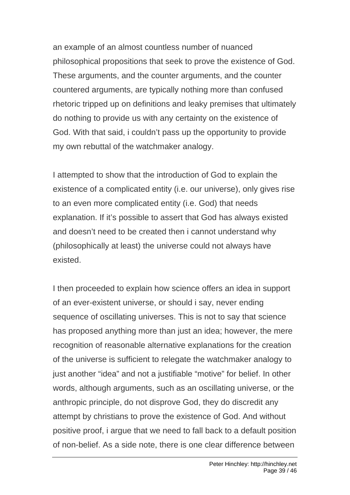an example of an almost countless number of nuanced philosophical propositions that seek to prove the existence of God. These arguments, and the counter arguments, and the counter countered arguments, are typically nothing more than confused rhetoric tripped up on definitions and leaky premises that ultimately do nothing to provide us with any certainty on the existence of God. With that said, i couldn't pass up the opportunity to provide my own rebuttal of the watchmaker analogy.

I attempted to show that the introduction of God to explain the existence of a complicated entity (i.e. our universe), only gives rise to an even more complicated entity (i.e. God) that needs explanation. If it's possible to assert that God has always existed and doesn't need to be created then i cannot understand why (philosophically at least) the universe could not always have existed.

I then proceeded to explain how science offers an idea in support of an ever-existent universe, or should i say, never ending sequence of oscillating universes. This is not to say that science has proposed anything more than just an idea; however, the mere recognition of reasonable alternative explanations for the creation of the universe is sufficient to relegate the watchmaker analogy to just another "idea" and not a justifiable "motive" for belief. In other words, although arguments, such as an oscillating universe, or the anthropic principle, do not disprove God, they do discredit any attempt by christians to prove the existence of God. And without positive proof, i argue that we need to fall back to a default position of non-belief. As a side note, there is one clear difference between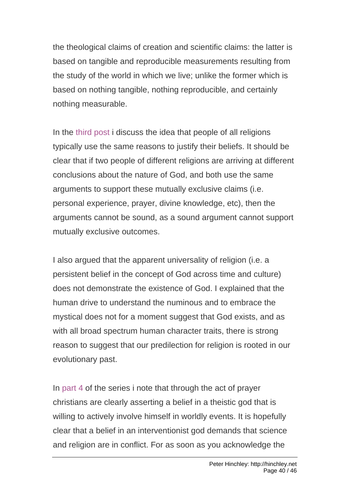the theological claims of creation and scientific claims: the latter is based on tangible and reproducible measurements resulting from the study of the world in which we live; unlike the former which is based on nothing tangible, nothing reproducible, and certainly nothing measurable.

In the [third post](http://hinchley.net/2008/03/02/why-i-am-not-a-christian-part-3-other-religions) i discuss the idea that people of all religions typically use the same reasons to justify their beliefs. It should be clear that if two people of different religions are arriving at different conclusions about the nature of God, and both use the same arguments to support these mutually exclusive claims (i.e. personal experience, prayer, divine knowledge, etc), then the arguments cannot be sound, as a sound argument cannot support mutually exclusive outcomes.

I also argued that the apparent universality of religion (i.e. a persistent belief in the concept of God across time and culture) does not demonstrate the existence of God. I explained that the human drive to understand the numinous and to embrace the mystical does not for a moment suggest that God exists, and as with all broad spectrum human character traits, there is strong reason to suggest that our predilection for religion is rooted in our evolutionary past.

In [part 4](http://hinchley.net/2008/03/09/why-i-am-not-a-christian-part-4-prayer) of the series i note that through the act of prayer christians are clearly asserting a belief in a theistic god that is willing to actively involve himself in worldly events. It is hopefully clear that a belief in an interventionist god demands that science and religion are in conflict. For as soon as you acknowledge the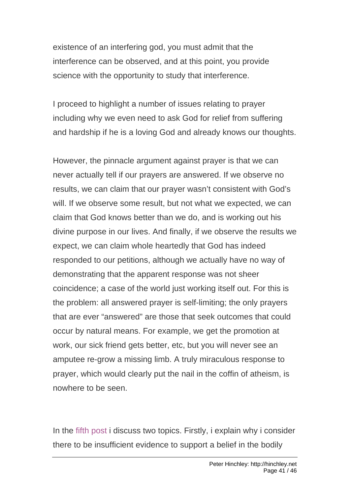existence of an interfering god, you must admit that the interference can be observed, and at this point, you provide science with the opportunity to study that interference.

I proceed to highlight a number of issues relating to prayer including why we even need to ask God for relief from suffering and hardship if he is a loving God and already knows our thoughts.

However, the pinnacle argument against prayer is that we can never actually tell if our prayers are answered. If we observe no results, we can claim that our prayer wasn't consistent with God's will. If we observe some result, but not what we expected, we can claim that God knows better than we do, and is working out his divine purpose in our lives. And finally, if we observe the results we expect, we can claim whole heartedly that God has indeed responded to our petitions, although we actually have no way of demonstrating that the apparent response was not sheer coincidence; a case of the world just working itself out. For this is the problem: all answered prayer is self-limiting; the only prayers that are ever "answered" are those that seek outcomes that could occur by natural means. For example, we get the promotion at work, our sick friend gets better, etc, but you will never see an amputee re-grow a missing limb. A truly miraculous response to prayer, which would clearly put the nail in the coffin of atheism, is nowhere to be seen.

In the [fifth post](http://hinchley.net/2008/03/16/why-i-am-not-a-christian-part-5-the-scale-of-the-claim-and-the-justice-of-hell) i discuss two topics. Firstly, i explain why i consider there to be insufficient evidence to support a belief in the bodily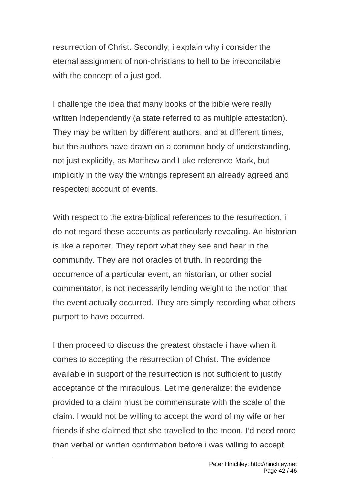resurrection of Christ. Secondly, i explain why i consider the eternal assignment of non-christians to hell to be irreconcilable with the concept of a just god.

I challenge the idea that many books of the bible were really written independently (a state referred to as multiple attestation). They may be written by different authors, and at different times, but the authors have drawn on a common body of understanding, not just explicitly, as Matthew and Luke reference Mark, but implicitly in the way the writings represent an already agreed and respected account of events.

With respect to the extra-biblical references to the resurrection, i do not regard these accounts as particularly revealing. An historian is like a reporter. They report what they see and hear in the community. They are not oracles of truth. In recording the occurrence of a particular event, an historian, or other social commentator, is not necessarily lending weight to the notion that the event actually occurred. They are simply recording what others purport to have occurred.

I then proceed to discuss the greatest obstacle i have when it comes to accepting the resurrection of Christ. The evidence available in support of the resurrection is not sufficient to justify acceptance of the miraculous. Let me generalize: the evidence provided to a claim must be commensurate with the scale of the claim. I would not be willing to accept the word of my wife or her friends if she claimed that she travelled to the moon. I'd need more than verbal or written confirmation before i was willing to accept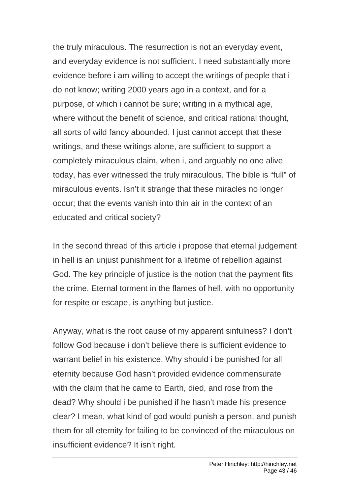the truly miraculous. The resurrection is not an everyday event, and everyday evidence is not sufficient. I need substantially more evidence before i am willing to accept the writings of people that i do not know; writing 2000 years ago in a context, and for a purpose, of which i cannot be sure; writing in a mythical age, where without the benefit of science, and critical rational thought, all sorts of wild fancy abounded. I just cannot accept that these writings, and these writings alone, are sufficient to support a completely miraculous claim, when i, and arguably no one alive today, has ever witnessed the truly miraculous. The bible is "full" of miraculous events. Isn't it strange that these miracles no longer occur; that the events vanish into thin air in the context of an educated and critical society?

In the second thread of this article i propose that eternal judgement in hell is an unjust punishment for a lifetime of rebellion against God. The key principle of justice is the notion that the payment fits the crime. Eternal torment in the flames of hell, with no opportunity for respite or escape, is anything but justice.

Anyway, what is the root cause of my apparent sinfulness? I don't follow God because i don't believe there is sufficient evidence to warrant belief in his existence. Why should i be punished for all eternity because God hasn't provided evidence commensurate with the claim that he came to Earth, died, and rose from the dead? Why should i be punished if he hasn't made his presence clear? I mean, what kind of god would punish a person, and punish them for all eternity for failing to be convinced of the miraculous on insufficient evidence? It isn't right.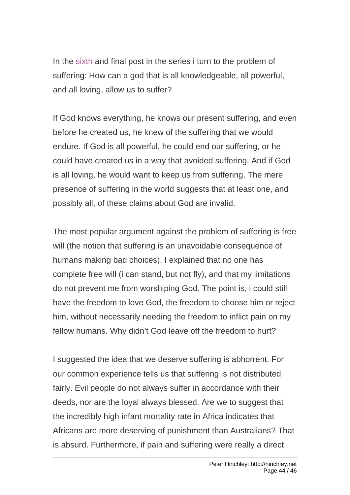In the [sixth](http://hinchley.net/2008/03/29/why-i-am-not-a-christian-part-6-the-problem-of-suffering) and final post in the series i turn to the problem of suffering: How can a god that is all knowledgeable, all powerful, and all loving, allow us to suffer?

If God knows everything, he knows our present suffering, and even before he created us, he knew of the suffering that we would endure. If God is all powerful, he could end our suffering, or he could have created us in a way that avoided suffering. And if God is all loving, he would want to keep us from suffering. The mere presence of suffering in the world suggests that at least one, and possibly all, of these claims about God are invalid.

The most popular argument against the problem of suffering is free will (the notion that suffering is an unavoidable consequence of humans making bad choices). I explained that no one has complete free will (i can stand, but not fly), and that my limitations do not prevent me from worshiping God. The point is, i could still have the freedom to love God, the freedom to choose him or reject him, without necessarily needing the freedom to inflict pain on my fellow humans. Why didn't God leave off the freedom to hurt?

I suggested the idea that we deserve suffering is abhorrent. For our common experience tells us that suffering is not distributed fairly. Evil people do not always suffer in accordance with their deeds, nor are the loyal always blessed. Are we to suggest that the incredibly high infant mortality rate in Africa indicates that Africans are more deserving of punishment than Australians? That is absurd. Furthermore, if pain and suffering were really a direct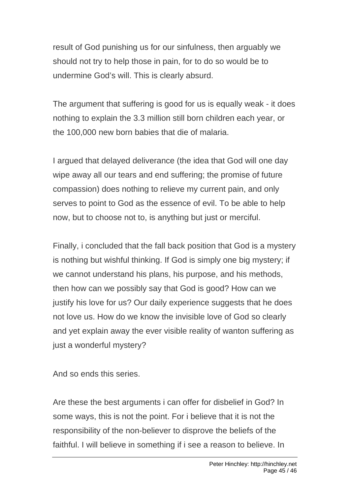result of God punishing us for our sinfulness, then arguably we should not try to help those in pain, for to do so would be to undermine God's will. This is clearly absurd.

The argument that suffering is good for us is equally weak - it does nothing to explain the 3.3 million still born children each year, or the 100,000 new born babies that die of malaria.

I argued that delayed deliverance (the idea that God will one day wipe away all our tears and end suffering; the promise of future compassion) does nothing to relieve my current pain, and only serves to point to God as the essence of evil. To be able to help now, but to choose not to, is anything but just or merciful.

Finally, i concluded that the fall back position that God is a mystery is nothing but wishful thinking. If God is simply one big mystery; if we cannot understand his plans, his purpose, and his methods, then how can we possibly say that God is good? How can we justify his love for us? Our daily experience suggests that he does not love us. How do we know the invisible love of God so clearly and yet explain away the ever visible reality of wanton suffering as just a wonderful mystery?

And so ends this series.

Are these the best arguments i can offer for disbelief in God? In some ways, this is not the point. For i believe that it is not the responsibility of the non-believer to disprove the beliefs of the faithful. I will believe in something if i see a reason to believe. In